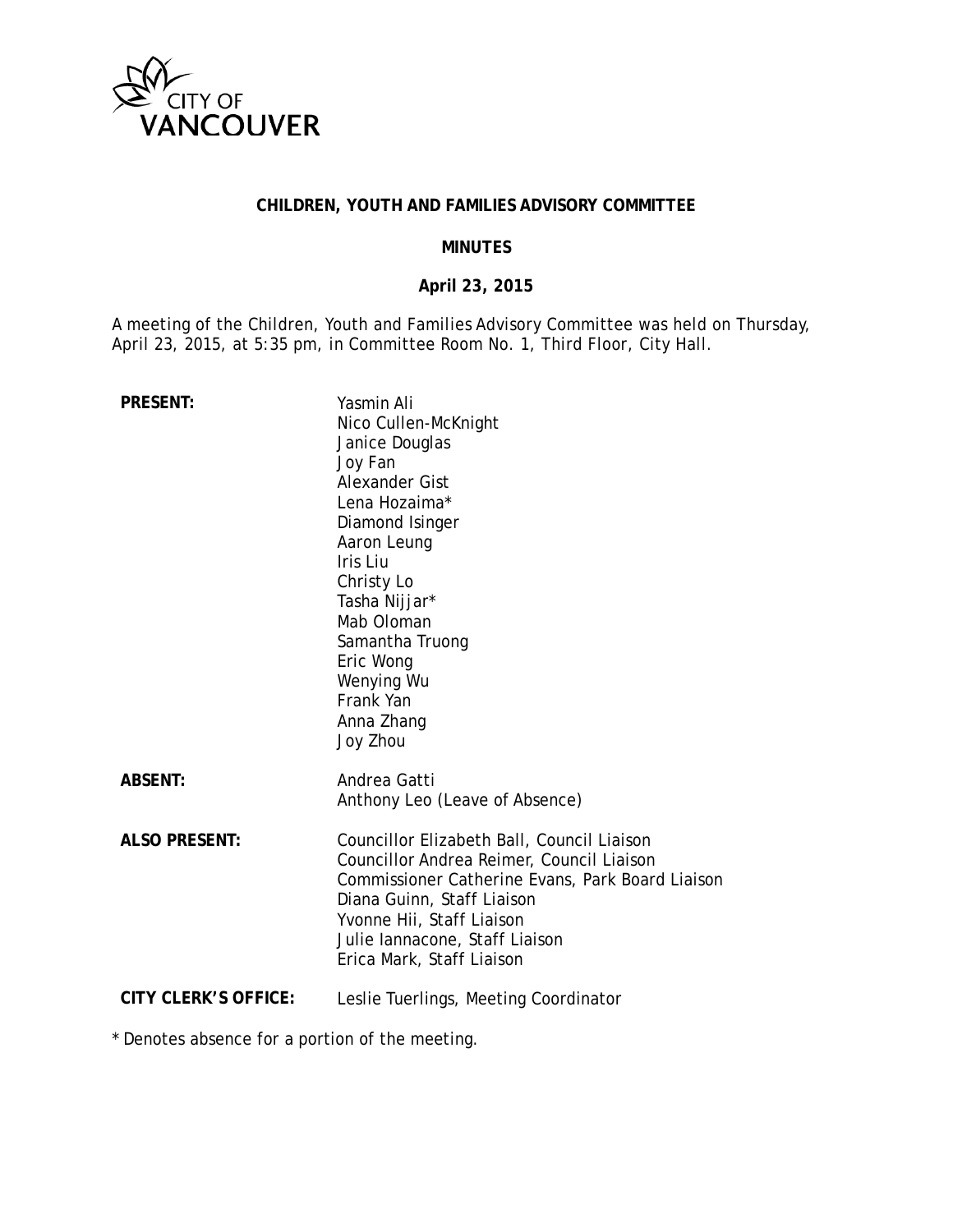

## **CHILDREN, YOUTH AND FAMILIES ADVISORY COMMITTEE**

#### **MINUTES**

#### **April 23, 2015**

A meeting of the Children, Youth and Families Advisory Committee was held on Thursday, April 23, 2015, at 5:35 pm, in Committee Room No. 1, Third Floor, City Hall.

| <b>PRESENT:</b>             | Yasmin Ali<br>Nico Cullen-McKnight<br>Janice Douglas<br>Joy Fan<br>Alexander Gist<br>Lena Hozaima*<br>Diamond Isinger<br>Aaron Leung<br>Iris Liu<br>Christy Lo<br>Tasha Nijjar*<br>Mab Oloman<br>Samantha Truong<br>Eric Wong<br>Wenying Wu<br>Frank Yan<br>Anna Zhang<br>Joy Zhou |
|-----------------------------|------------------------------------------------------------------------------------------------------------------------------------------------------------------------------------------------------------------------------------------------------------------------------------|
| <b>ABSENT:</b>              | Andrea Gatti<br>Anthony Leo (Leave of Absence)                                                                                                                                                                                                                                     |
| <b>ALSO PRESENT:</b>        | Councillor Elizabeth Ball, Council Liaison<br>Councillor Andrea Reimer, Council Liaison<br>Commissioner Catherine Evans, Park Board Liaison<br>Diana Guinn, Staff Liaison<br>Yvonne Hii, Staff Liaison<br>Julie lannacone, Staff Liaison<br>Erica Mark, Staff Liaison              |
| <b>CITY CLERK'S OFFICE:</b> | Leslie Tuerlings, Meeting Coordinator                                                                                                                                                                                                                                              |

\* Denotes absence for a portion of the meeting.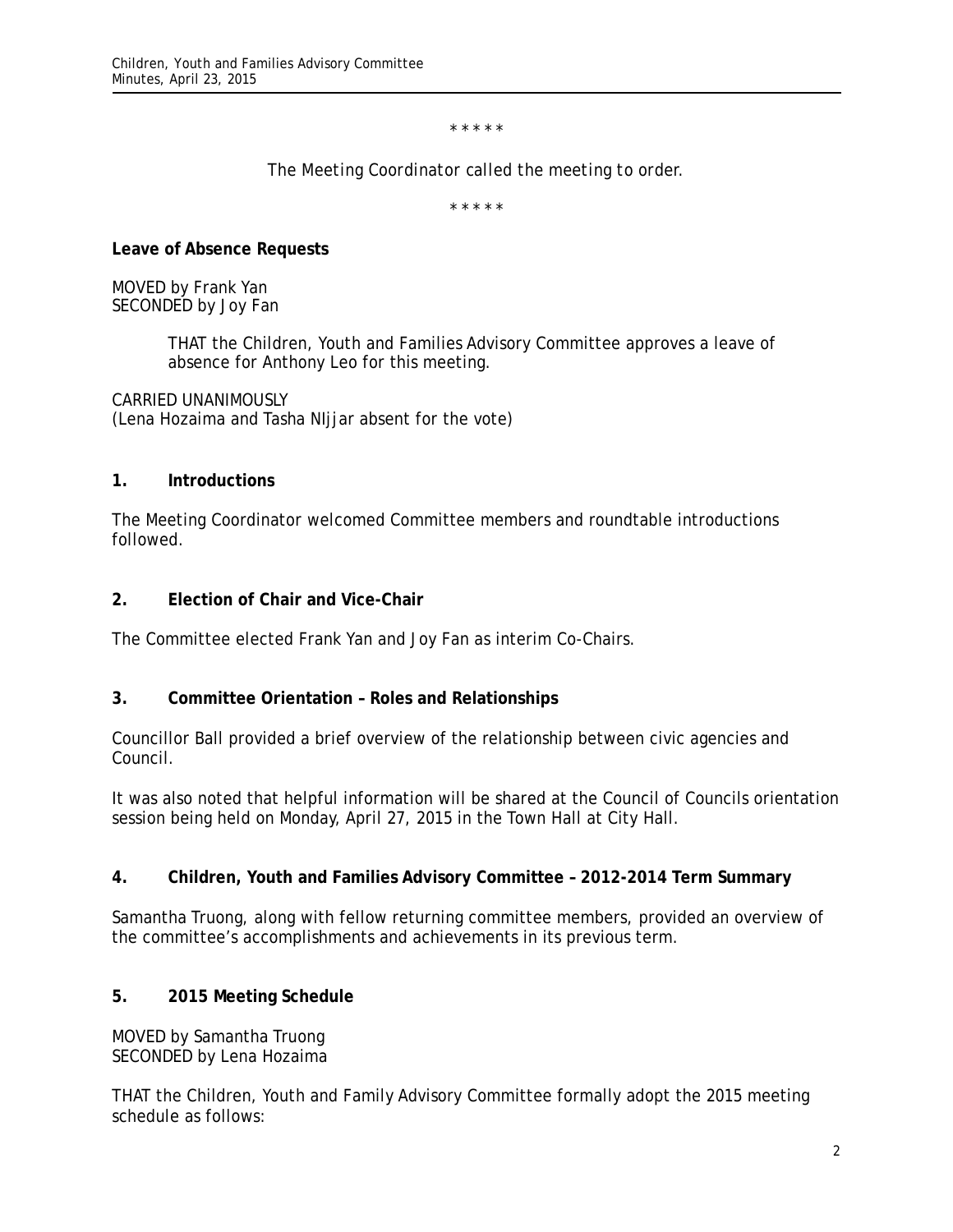\* \* \* \* \*

*The Meeting Coordinator called the meeting to order.*

\* \* \* \* \*

**Leave of Absence Requests**

MOVED by Frank Yan SECONDED by Joy Fan

> THAT the Children, Youth and Families Advisory Committee approves a leave of absence for Anthony Leo for this meeting.

CARRIED UNANIMOUSLY (Lena Hozaima and Tasha NIjjar absent for the vote)

#### **1. Introductions**

The Meeting Coordinator welcomed Committee members and roundtable introductions followed.

### **2. Election of Chair and Vice-Chair**

The Committee elected Frank Yan and Joy Fan as interim Co-Chairs.

### **3. Committee Orientation – Roles and Relationships**

Councillor Ball provided a brief overview of the relationship between civic agencies and Council.

It was also noted that helpful information will be shared at the Council of Councils orientation session being held on Monday, April 27, 2015 in the Town Hall at City Hall.

### **4. Children, Youth and Families Advisory Committee – 2012-2014 Term Summary**

Samantha Truong, along with fellow returning committee members, provided an overview of the committee's accomplishments and achievements in its previous term.

### **5. 2015 Meeting Schedule**

MOVED by Samantha Truong SECONDED by Lena Hozaima

THAT the Children, Youth and Family Advisory Committee formally adopt the 2015 meeting schedule as follows: